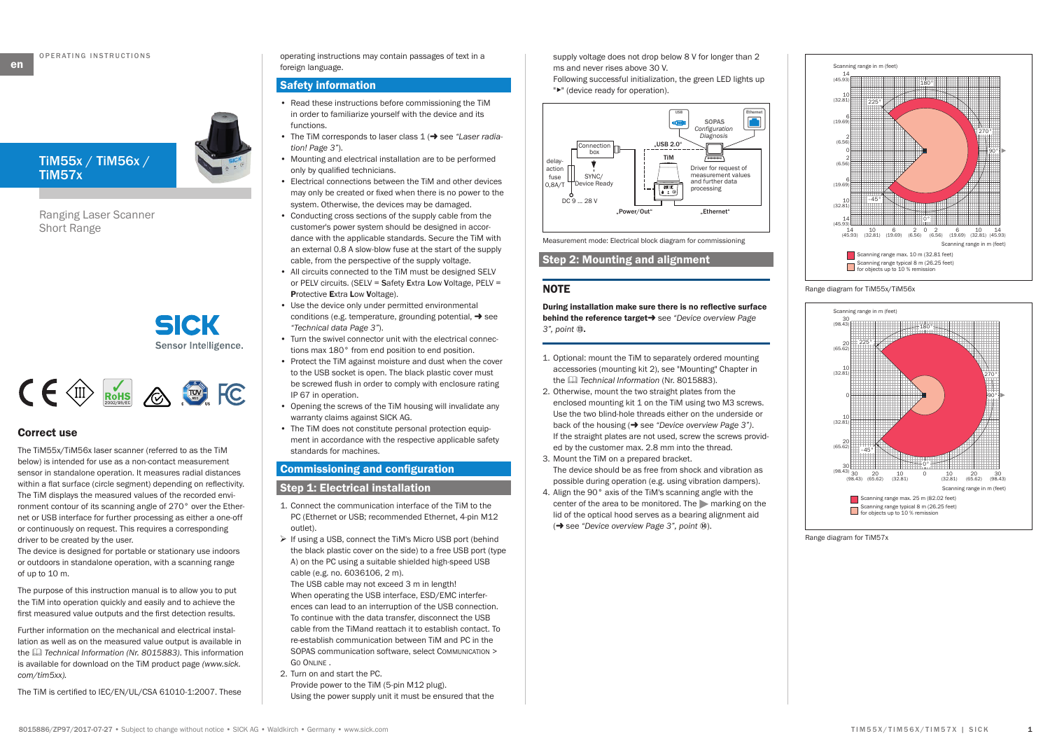**en**



Ranging Laser Scanner Short Range

> **SICK** Sensor Intelligence.

# $C \in \mathbb{C}$  Rots  $\otimes$   $\otimes$  FC

## **Correct use**

The TiM55x/TiM56x laser scanner (referred to as the TiM below) is intended for use as a non-contact measurement sensor in standalone operation. It measures radial distances within a flat surface (circle segment) depending on reflectivity. The TiM displays the measured values of the recorded environment contour of its scanning angle of 270° over the Ethernet or USB interface for further processing as either a one-off or continuously on request. This requires a corresponding driver to be created by the user.

The device is designed for portable or stationary use indoors or outdoors in standalone operation, with a scanning range of up to 10 m.

The purpose of this instruction manual is to allow you to put the TiM into operation quickly and easily and to achieve the first measured value outputs and the first detection results.

Further information on the mechanical and electrical installation as well as on the measured value output is available in the & *Technical Information (Nr. 8015883)*. This information is available for download on the TiM product page *(www.sick. com/tim5xx).* 

The TiM is certified to IEC/EN/UL/CSA 61010-1:2007. These

operating instructions may contain passages of text in a foreign language.

#### **Safety information**

- Read these instructions before commissioning the TiM in order to familiarize yourself with the device and its functions.
- The TiM corresponds to laser class 1 ( $\rightarrow$  see ["Laser radia](#page-2-0)*[tion! Page 3"](#page-2-0)*).
- Mounting and electrical installation are to be performed only by qualified technicians.
- Electrical connections between the TiM and other devices may only be created or fixed when there is no power to the system. Otherwise, the devices may be damaged.
- Conducting cross sections of the supply cable from the customer's power system should be designed in accordance with the applicable standards. Secure the TiM with an external 0.8 A slow-blow fuse at the start of the supply cable, from the perspective of the supply voltage.
- All circuits connected to the TiM must be designed SELV or PELV circuits. (SELV = Safety Extra Low Voltage, PELV = **P**rotective **E**xtra **L**ow **V**oltage).
- Use the device only under permitted environmental conditions (e.g. temperature, grounding potential,  $\rightarrow$  see *["Technical data Page 3"](#page-2-1)*).
- Turn the swivel connector unit with the electrical connections max 180° from end position to end position.
- Protect the TiM against moisture and dust when the cover to the USB socket is open. The black plastic cover must be screwed flush in order to comply with enclosure rating IP 67 in operation.
- Opening the screws of the TiM housing will invalidate any warranty claims against SICK AG.
- The TiM does not constitute personal protection equipment in accordance with the respective applicable safety standards for machines.

# **Commissioning and configuration**

# **Step 1: Electrical installation**

- 1. Connect the communication interface of the TiM to the PC (Ethernet or USB; recommended Ethernet, 4-pin M12 outlet).
- $\triangleright$  If using a USB, connect the TiM's Micro USB port (behind the black plastic cover on the side) to a free USB port (type A) on the PC using a suitable shielded high-speed USB cable (e.g. no. 6036106, 2 m).

The USB cable may not exceed 3 m in length! When operating the USB interface, ESD/EMC interferences can lead to an interruption of the USB connection. To continue with the data transfer, disconnect the USB cable from the TiMand reattach it to establish contact. To re-establish communication between TiM and PC in the SOPAS communication software, select Communication > Go Online .

2. Turn on and start the PC. Provide power to the TiM (5-pin M12 plug). Using the power supply unit it must be ensured that the supply voltage does not drop below 8 V for longer than 2 ms and never rises above 30 V. Following successful initialization, the green LED lights up "▸" (device ready for operation).



Measurement mode: Electrical block diagram for commissioning

# **Step 2: Mounting and alignment**

# **NOTE**

**During installation make sure there is no reflective surface behind the reference target >** see "Device overview Page *[3",](#page-2-2) point* â**.** 

- 1. Optional: mount the TiM to separately ordered mounting accessories (mounting kit 2), see "Mounting" Chapter in the & *Technical Information* (Nr. 8015883).
- 2. Otherwise, mount the two straight plates from the enclosed mounting kit 1 on the TiM using two M3 screws. Use the two blind-hole threads either on the underside or back of the housing ( $\rightarrow$  see ["Device overview Page 3"\)](#page-2-2). If the straight plates are not used, screw the screws provided by the customer max. 2.8 mm into the thread*.*
- 3. Mount the TiM on a prepared bracket. The device should be as free from shock and vibration as possible during operation (e.g. using vibration dampers).
- 4. Align the 90° axis of the TiM's scanning angle with the center of the area to be monitored. The  $\blacktriangleright$  marking on the lid of the optical hood serves as a bearing alignment aid (→ see ["Device overview Page 3",](#page-2-2) point <sup>**⑧**).</sup>



Range diagram for TiM55x/TiM56x



Range diagram for TiM57x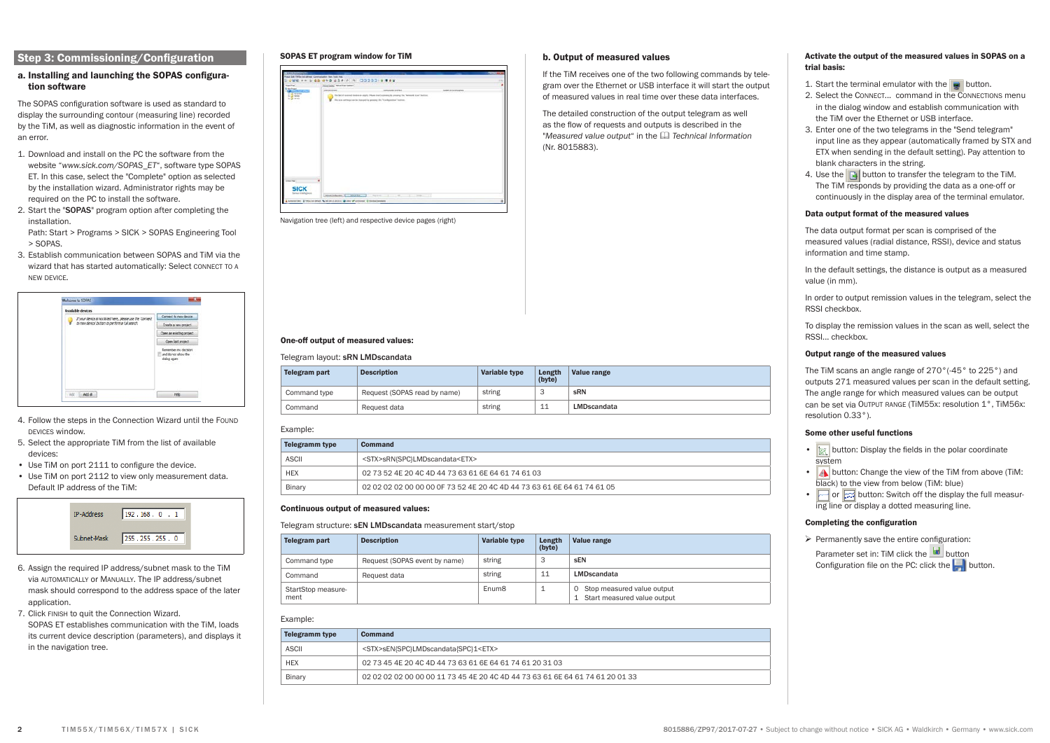# **Step 3: Commissioning/Configuration**

#### **a. Installing and launching the SOPAS configuration software**

The SOPAS configuration software is used as standard to display the surrounding contour (measuring line) recorded by the TiM, as well as diagnostic information in the event of an error.

- 1. Download and install on the PC the software from the website "*[www.sick.com/SOPAS\\_ET](http://www.mysick.com/en/tim5xx)*", software type SOPAS ET. In this case, select the "Complete" option as selected by the installation wizard. Administrator rights may be required on the PC to install the software.
- 2. Start the "SOPAS" program option after completing the installation.

Path: Start > Programs > SICK > SOPAS Engineering Tool > SOPAS.

3. Establish communication between SOPAS and TiM via the wizard that has started automatically: Select CONNECT TO A new device.



- 4. Follow the steps in the Connection Wizard until the Found devices window.
- 5. Select the appropriate TiM from the list of available devices:
- Use TiM on port 2111 to configure the device.
- Use TiM on port 2112 to view only measurement data. Default IP address of the TiM:



- 6. Assign the required IP address/subnet mask to the TiM via automatically or Manually. The IP address/subnet mask should correspond to the address space of the later application.
- 7. Click finish to quit the Connection Wizard. SOPAS ET establishes communication with the TiM, loads its current device description (parameters), and displays it in the navigation tree.

## **SOPAS ET program window for TiM**



Navigation tree (left) and respective device pages (right)

#### **One-off output of measured values:**

# Telegram layout: sRN LMDscandata

| Telegram part | <b>Description</b>           | Variable type | Length<br>(byte) | Value range |
|---------------|------------------------------|---------------|------------------|-------------|
| Command type  | Request (SOPAS read by name) | string        | - 3              | sRN         |
| Command       | Request data                 | string        | 11               | LMDscandata |

#### Example:

| Telegramm type | Command                                                                    |
|----------------|----------------------------------------------------------------------------|
| <b>ASCII</b>   | <stx>sRN{SPC}LMDscandata<etx></etx></stx>                                  |
| <b>HEX</b>     | 02 73 52 4E 20 4C 4D 44 73 63 61 6E 64 61 74 61 03                         |
| Binary         | 02 02 02 02 00 00 00 00 0F 73 52 4E 20 4C 4D 44 73 63 61 6E 64 61 74 61 05 |

#### **Continuous output of measured values:**

#### Telegram structure: sEN LMDscandata measurement start/stop

| Telegram part              | <b>Description</b>            | Variable type     | Length<br>(byte) | Value range                                                   |
|----------------------------|-------------------------------|-------------------|------------------|---------------------------------------------------------------|
| Command type               | Request (SOPAS event by name) | string            | З                | <b>SEN</b>                                                    |
| Command                    | Request data                  | string            | 11               | LMDscandata                                                   |
| StartStop measure-<br>ment |                               | Enum <sub>8</sub> |                  | 0 Stop measured value output<br>1 Start measured value output |

# Example:

| <b>Telegramm type</b> | Command                                                                       |
|-----------------------|-------------------------------------------------------------------------------|
| ASCII                 | <stx>sEN{SPC}LMDscandata{SPC}1<etx></etx></stx>                               |
| <b>HEX</b>            | 02 73 45 4E 20 4C 4D 44 73 63 61 6E 64 61 74 61 20 31 03                      |
| Binary                | 02 02 02 02 00 00 00 11 73 45 4E 20 4C 4D 44 73 63 61 6E 64 61 74 61 20 01 33 |

#### **b. Output of measured values**

If the TiM receives one of the two following commands by telegram over the Ethernet or USB interface it will start the output of measured values in real time over these data interfaces.

The detailed construction of the output telegram as well as the flow of requests and outputs is described in the "Measured value output" in the **Q** Technical Information (Nr. 8015883).

#### **Activate the output of the measured values in SOPAS on a trial basis:**

1. Start the terminal emulator with the  $\Box$  button.

- 2. Select the CONNECT... command in the CONNECTIONS menu in the dialog window and establish communication with the TiM over the Ethernet or USB interface.
- 3. Enter one of the two telegrams in the "Send telegram" input line as they appear (automatically framed by STX and ETX when sending in the default setting). Pay attention to blank characters in the string.
- 4. Use the  $\Box$  button to transfer the telegram to the TiM. The TiM responds by providing the data as a one-off or continuously in the display area of the terminal emulator.

## **Data output format of the measured values**

The data output format per scan is comprised of the measured values (radial distance, RSSI), device and status information and time stamp.

In the default settings, the distance is output as a measured value (in mm).

In order to output remission values in the telegram, select the RSSI checkbox.

To display the remission values in the scan as well, select the RSSI... checkbox.

#### **Output range of the measured values**

The TiM scans an angle range of 270°(-45° to 225°) and outputs 271 measured values per scan in the default setting. The angle range for which measured values can be output can be set via Output RANGE (TiM55x: resolution 1°, TiM56x: resolution 0.33°).

#### **Some other useful functions**

- $\frac{1}{200}$  button: Display the fields in the polar coordinate system
- **4** button: Change the view of the TiM from above (TiM: black) to the view from below (TiM: blue)
- $\Box$  or  $\Box$  button: Switch off the display the full measuring line or display a dotted measuring line.

#### **Completing the configuration**

 $\triangleright$  Permanently save the entire configuration: Parameter set in: TiM click the **button** Configuration file on the PC: click the  $\Box$  button.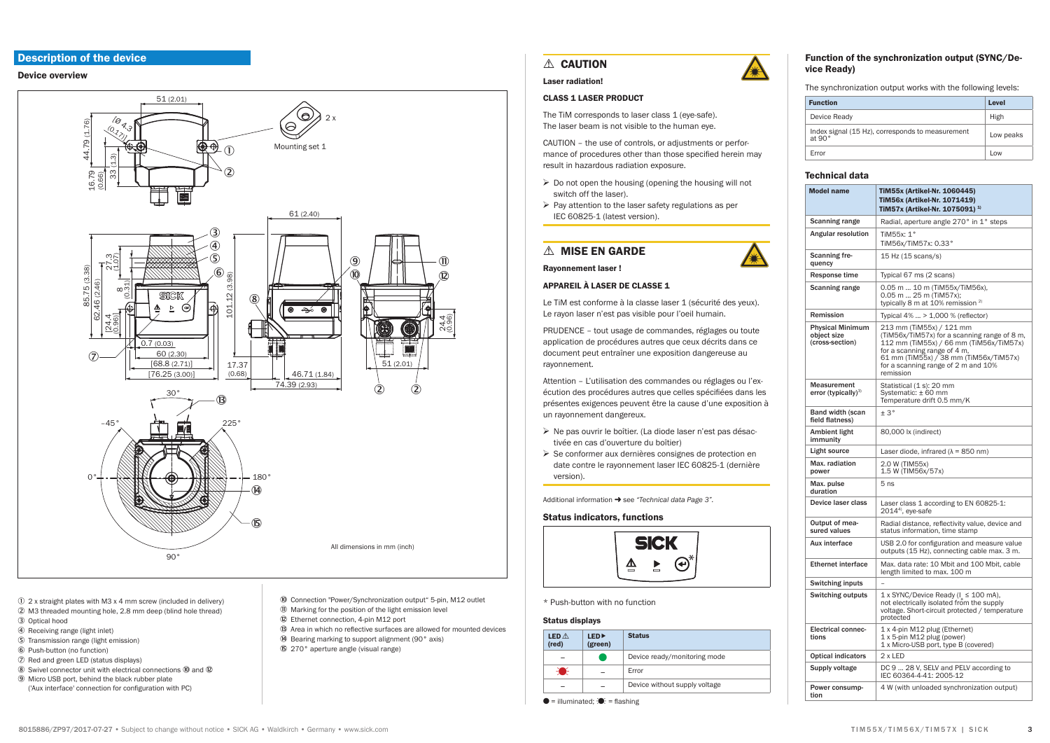# **Description of the device**

#### <span id="page-2-2"></span>**Device overview**



- 10 2 x straight plates with M3 x 4 mm screw (included in delivery)
- 2 M3 threaded mounting hole, 2.8 mm deep (blind hole thread)
- 3 Optical hood
- 4 Receiving range (light inlet)
- 5 Transmission range (light emission)
- 6 Push-button (no function) 2 Red and green LED (status displays)
- 
- 8 Swivel connector unit with electrical connections 0 and 0 9 Micro USB port, behind the black rubber plate
- ('Aux interface' connection for configuration with PC)
- <sup>(0</sup> Connection "Power/Synchronization output" 5-pin, M12 outlet 10 Marking for the position of the light emission level
- 12 Ethernet connection, 4-pin M12 port
- <sup>(3)</sup> Area in which no reflective surfaces are allowed for mounted devices
- (A) Bearing marking to support alignment (90° axis)
- 6 270° aperture angle (visual range)

# **A** CAUTION

#### <span id="page-2-0"></span>Laser radiation

# **CLASS 1 LASER PRODUCT**

The TiM corresponds to laser class 1 (eve-safe). The laser beam is not visible to the human eve

CAUTION - the use of controls, or adiustments or performance of procedures other than those specified herein may result in hazardous radiation exposure.

- $\triangleright$  Do not open the housing (opening the housing will not switch off the laser).
- $\triangleright$  Pay attention to the laser safety regulations as per IFC 60825-1 (latest version).

# △ MISE EN GARDE

**Ravonnement laser!** 

#### **APPAREIL À LASER DE CLASSE 1**

Le TiM est conforme à la classe laser 1 (sécurité des veux). Le ravon laser n'est pas visible pour l'oeil humain.

PRUDENCE - tout usage de commandes, réglages ou toute application de procédures autres que ceux décrits dans ce document peut entraîner une exposition dangereuse au rayonnement.

Attention - L'utilisation des commandes ou réglages ou l'exécution des procédures autres que celles spécifiées dans les présentes exigences peuvent être la cause d'une exposition à un rayonnement dangereux.

- > Ne pas ouvrir le boîtier. (La diode laser n'est pas désactivée en cas d'ouverture du boîtier)
- > Se conformer aux dernières consignes de protection en date contre le rayonnement laser IEC 60825-1 (dernière version).

Additional information → see "Technical data Page 3".

#### **Status indicators, functions**



\* Push-button with no function

#### **Status displays**

| <b>LED</b> $\land$<br>(red) | <b>LED</b><br>(green) | <b>Status</b>                 |
|-----------------------------|-----------------------|-------------------------------|
|                             |                       | Device ready/monitoring mode  |
|                             |                       | Error                         |
|                             |                       | Device without supply voltage |

 $\bullet$  = illuminated:  $\bullet$  = flashing



vice Ready)

The synchronization output works with the following levels:

| <b>Function</b>                                                   | Level     |
|-------------------------------------------------------------------|-----------|
| Device Ready                                                      | High      |
| Index signal (15 Hz), corresponds to measurement<br>at $90^\circ$ | Low peaks |
| Error                                                             | Low       |

# <span id="page-2-1"></span>**Technical data**

| <b>Model name</b>                                         | TiM55x (Artikel-Nr. 1060445)<br>TiM56x (Artikel-Nr. 1071419)<br>TiM57x (Artikel-Nr. 1075091) <sup>1)</sup>                                                                                                                                        |  |
|-----------------------------------------------------------|---------------------------------------------------------------------------------------------------------------------------------------------------------------------------------------------------------------------------------------------------|--|
| <b>Scanning range</b>                                     | Radial, aperture angle 270° in 1° steps                                                                                                                                                                                                           |  |
| Angular resolution                                        | TiM55x: 1°<br>TiM56x/TiM57x: 0.33°                                                                                                                                                                                                                |  |
| <b>Scanning fre-</b><br>quency                            | 15 Hz (15 scans/s)                                                                                                                                                                                                                                |  |
| Response time                                             | Typical 67 ms (2 scans)                                                                                                                                                                                                                           |  |
| <b>Scanning range</b>                                     | 0.05 m  10 m (TiM55x/TiM56x),<br>$0.05$ m  25 m (TiM57x);<br>typically 8 m at 10% remission <sup>2)</sup>                                                                                                                                         |  |
| Remission                                                 | Typical 4%  > 1,000 % (reflector)                                                                                                                                                                                                                 |  |
| <b>Physical Minimum</b><br>object size<br>(cross-section) | 213 mm (TiM55x) / 121 mm<br>(TiM56x/TiM57x) for a scanning range of 8 m,<br>112 mm (TiM55x) / 66 mm (TiM56x/TiM57x)<br>for a scanning range of 4 m,<br>61 mm (TiM55x) / 38 mm (TiM56x/TiM57x)<br>for a scanning range of 2 m and 10%<br>remission |  |
| Measurement<br>error (typically) $^{3)}$                  | Statistical (1 s): 20 mm<br>Systematic: ± 60 mm<br>Temperature drift 0.5 mm/K                                                                                                                                                                     |  |
| <b>Band width (scan</b><br>field flatness)                | ±3°                                                                                                                                                                                                                                               |  |
| Ambient light<br>immunity                                 | 80,000 lx (indirect)                                                                                                                                                                                                                              |  |
| <b>Light source</b>                                       | Laser diode, infrared ( $\lambda$ = 850 nm)                                                                                                                                                                                                       |  |
| Max. radiation<br>power                                   | 2.0 W (TIM55x)<br>1.5 W (TIM56x/57x)                                                                                                                                                                                                              |  |
| Max. pulse<br>duration                                    | 5 <sub>ns</sub>                                                                                                                                                                                                                                   |  |
| Device laser class                                        | Laser class 1 according to EN 60825-1:<br>$20144$ , eye-safe                                                                                                                                                                                      |  |
| Output of mea-<br>sured values                            | Radial distance, reflectivity value, device and<br>status information, time stamp                                                                                                                                                                 |  |
| Aux interface                                             | USB 2.0 for configuration and measure value<br>outputs (15 Hz), connecting cable max. 3 m.                                                                                                                                                        |  |
| <b>Ethernet interface</b>                                 | Max. data rate: 10 Mbit and 100 Mbit, cable<br>length limited to max. 100 m                                                                                                                                                                       |  |
| <b>Switching inputs</b>                                   |                                                                                                                                                                                                                                                   |  |
| <b>Switching outputs</b>                                  | 1 x SYNC/Device Ready (I ≤ 100 mA),<br>not electrically isolated from the supply<br>voltage. Short-circuit protected / temperature<br>protected                                                                                                   |  |
| <b>Electrical connec-</b><br>tions                        | 1 x 4-pin M12 plug (Ethernet)<br>1 x 5-pin M12 plug (power)<br>1 x Micro-USB port, type B (covered)                                                                                                                                               |  |
| <b>Optical indicators</b>                                 | $2x$ LED                                                                                                                                                                                                                                          |  |
| Supply voltage                                            | DC 9  28 V, SELV and PELV according to<br>IEC 60364-4-41: 2005-12                                                                                                                                                                                 |  |
| Power consump-<br>tion                                    | 4 W (with unloaded synchronization output)                                                                                                                                                                                                        |  |

 $\mathbf{3}$